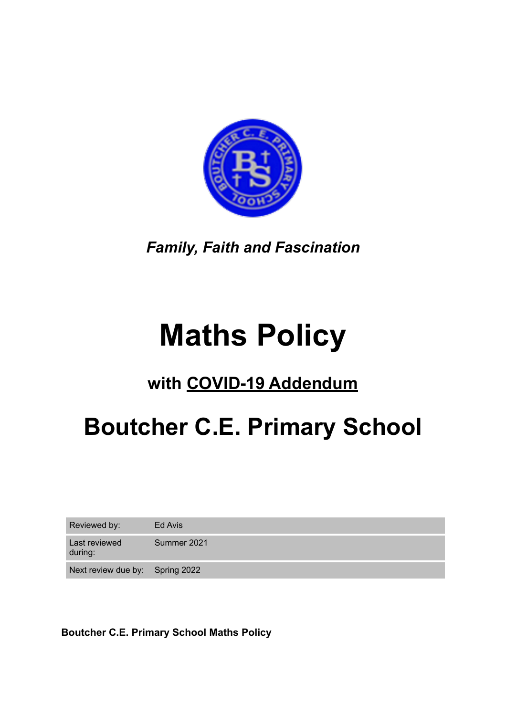

*Family, Faith and Fascination* 

# **Maths Policy**

# **with COVID-19 Addendum**

# **Boutcher C.E. Primary School**

Reviewed by: Ed Avis

Last reviewed Summer 2021

during:

Next review due by: Spring 2022

**Boutcher C.E. Primary School Maths Policy**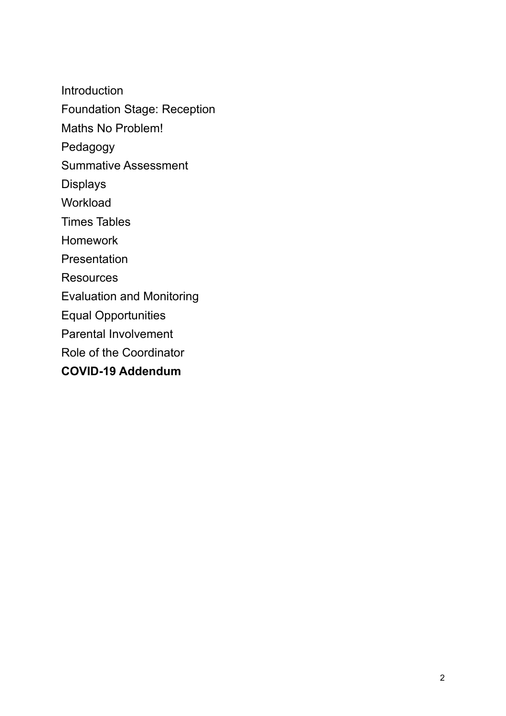Introduction Foundation Stage: Reception Maths No Problem! Pedagogy Summative Assessment Displays Workload Times Tables Homework Presentation **Resources** Evaluation and Monitoring Equal Opportunities Parental Involvement Role of the Coordinator **COVID-19 Addendum**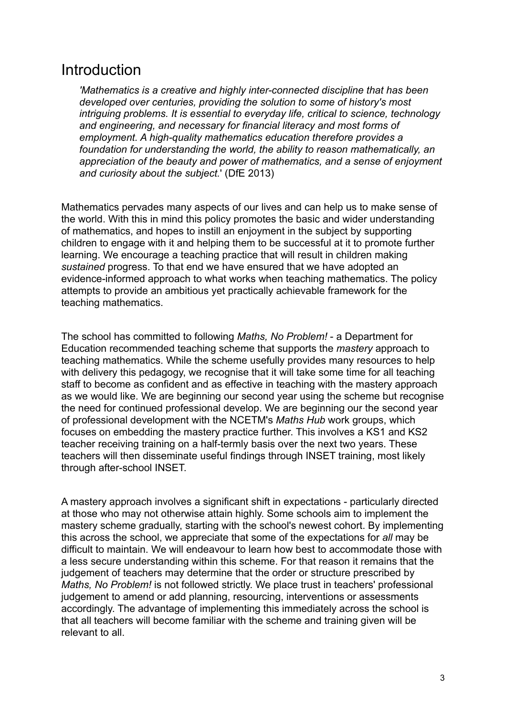### Introduction

*'Mathematics is a creative and highly inter-connected discipline that has been developed over centuries, providing the solution to some of history's most intriguing problems. It is essential to everyday life, critical to science, technology and engineering, and necessary for financial literacy and most forms of employment. A high-quality mathematics education therefore provides a foundation for understanding the world, the ability to reason mathematically, an appreciation of the beauty and power of mathematics, and a sense of enjoyment and curiosity about the subject.*' (DfE 2013)

Mathematics pervades many aspects of our lives and can help us to make sense of the world. With this in mind this policy promotes the basic and wider understanding of mathematics, and hopes to instill an enjoyment in the subject by supporting children to engage with it and helping them to be successful at it to promote further learning. We encourage a teaching practice that will result in children making *sustained* progress. To that end we have ensured that we have adopted an evidence-informed approach to what works when teaching mathematics. The policy attempts to provide an ambitious yet practically achievable framework for the teaching mathematics.

The school has committed to following *Maths, No Problem!* - a Department for Education recommended teaching scheme that supports the *mastery* approach to teaching mathematics. While the scheme usefully provides many resources to help with delivery this pedagogy, we recognise that it will take some time for all teaching staff to become as confident and as effective in teaching with the mastery approach as we would like. We are beginning our second year using the scheme but recognise the need for continued professional develop. We are beginning our the second year of professional development with the NCETM's *Maths Hub* work groups, which focuses on embedding the mastery practice further. This involves a KS1 and KS2 teacher receiving training on a half-termly basis over the next two years. These teachers will then disseminate useful findings through INSET training, most likely through after-school INSET.

A mastery approach involves a significant shift in expectations - particularly directed at those who may not otherwise attain highly. Some schools aim to implement the mastery scheme gradually, starting with the school's newest cohort. By implementing this across the school, we appreciate that some of the expectations for *all* may be difficult to maintain. We will endeavour to learn how best to accommodate those with a less secure understanding within this scheme. For that reason it remains that the judgement of teachers may determine that the order or structure prescribed by *Maths, No Problem!* is not followed strictly. We place trust in teachers' professional judgement to amend or add planning, resourcing, interventions or assessments accordingly. The advantage of implementing this immediately across the school is that all teachers will become familiar with the scheme and training given will be relevant to all.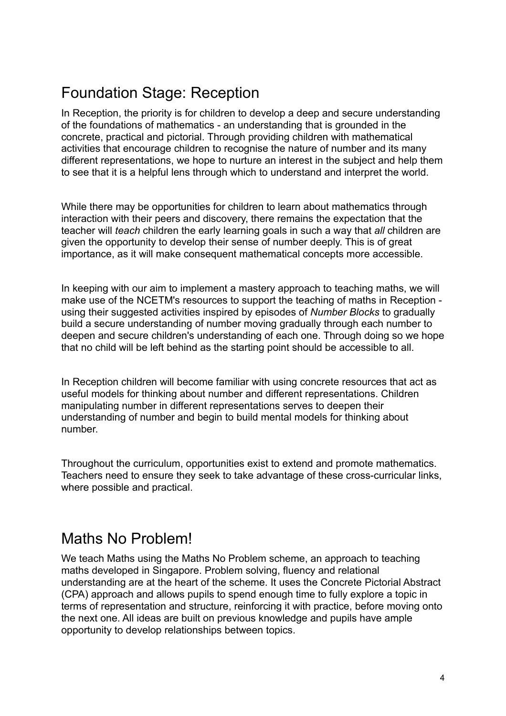# Foundation Stage: Reception

In Reception, the priority is for children to develop a deep and secure understanding of the foundations of mathematics - an understanding that is grounded in the concrete, practical and pictorial. Through providing children with mathematical activities that encourage children to recognise the nature of number and its many different representations, we hope to nurture an interest in the subject and help them to see that it is a helpful lens through which to understand and interpret the world.

While there may be opportunities for children to learn about mathematics through interaction with their peers and discovery, there remains the expectation that the teacher will *teach* children the early learning goals in such a way that *all* children are given the opportunity to develop their sense of number deeply. This is of great importance, as it will make consequent mathematical concepts more accessible.

In keeping with our aim to implement a mastery approach to teaching maths, we will make use of the NCETM's resources to support the teaching of maths in Reception using their suggested activities inspired by episodes of *Number Blocks* to gradually build a secure understanding of number moving gradually through each number to deepen and secure children's understanding of each one. Through doing so we hope that no child will be left behind as the starting point should be accessible to all.

In Reception children will become familiar with using concrete resources that act as useful models for thinking about number and different representations. Children manipulating number in different representations serves to deepen their understanding of number and begin to build mental models for thinking about number.

Throughout the curriculum, opportunities exist to extend and promote mathematics. Teachers need to ensure they seek to take advantage of these cross-curricular links, where possible and practical.

### Maths No Problem!

We teach Maths using the Maths No Problem scheme, an approach to teaching maths developed in Singapore. Problem solving, fluency and relational understanding are at the heart of the scheme. It uses the Concrete Pictorial Abstract (CPA) approach and allows pupils to spend enough time to fully explore a topic in terms of representation and structure, reinforcing it with practice, before moving onto the next one. All ideas are built on previous knowledge and pupils have ample opportunity to develop relationships between topics.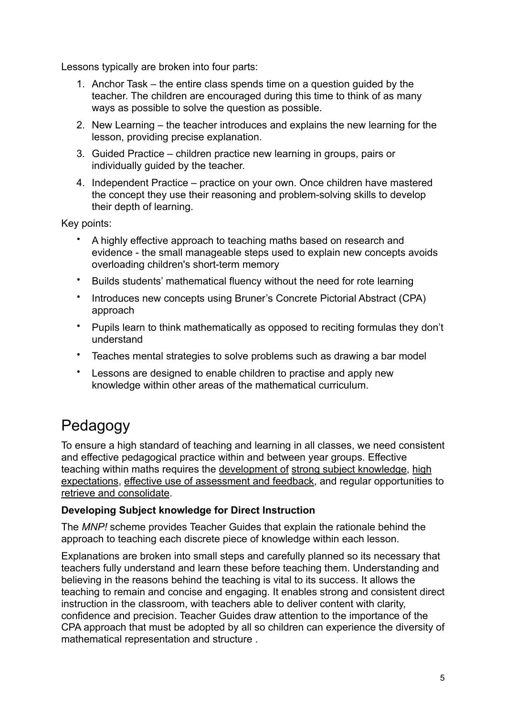Lessons typically are broken into four parts:

- 1. Anchor Task the entire class spends time on a question guided by the teacher. The children are encouraged during this time to think of as many ways as possible to solve the question as possible.
- 2. New Learning the teacher introduces and explains the new learning for the lesson, providing precise explanation.
- 3. Guided Practice children practice new learning in groups, pairs or individually guided by the teacher.
- 4. Independent Practice practice on your own. Once children have mastered the concept they use their reasoning and problem-solving skills to develop their depth of learning.

Key points:

- A highly effective approach to teaching maths based on research and evidence - the small manageable steps used to explain new concepts avoids overloading children's short-term memory
- Builds students' mathematical fluency without the need for rote learning
- Introduces new concepts using Bruner's Concrete Pictorial Abstract (CPA) approach
- Pupils learn to think mathematically as opposed to reciting formulas they don't understand
- Teaches mental strategies to solve problems such as drawing a bar model
- Lessons are designed to enable children to practise and apply new knowledge within other areas of the mathematical curriculum.

# Pedagogy

To ensure a high standard of teaching and learning in all classes, we need consistent and effective pedagogical practice within and between year groups. Effective teaching within maths requires the development of strong subject knowledge, high expectations, effective use of assessment and feedback, and regular opportunities to retrieve and consolidate.

#### **Developing Subject knowledge for Direct Instruction**

The *MNP!* scheme provides Teacher Guides that explain the rationale behind the approach to teaching each discrete piece of knowledge within each lesson.

Explanations are broken into small steps and carefully planned so its necessary that teachers fully understand and learn these before teaching them. Understanding and believing in the reasons behind the teaching is vital to its success. It allows the teaching to remain and concise and engaging. It enables strong and consistent direct instruction in the classroom, with teachers able to deliver content with clarity, confidence and precision. Teacher Guides draw attention to the importance of the CPA approach that must be adopted by all so children can experience the diversity of mathematical representation and structure .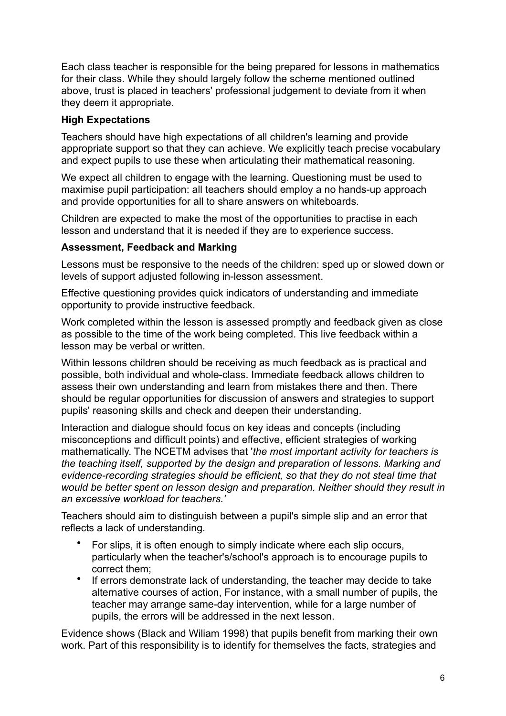Each class teacher is responsible for the being prepared for lessons in mathematics for their class. While they should largely follow the scheme mentioned outlined above, trust is placed in teachers' professional judgement to deviate from it when they deem it appropriate.

#### **High Expectations**

Teachers should have high expectations of all children's learning and provide appropriate support so that they can achieve. We explicitly teach precise vocabulary and expect pupils to use these when articulating their mathematical reasoning.

We expect all children to engage with the learning. Questioning must be used to maximise pupil participation: all teachers should employ a no hands-up approach and provide opportunities for all to share answers on whiteboards.

Children are expected to make the most of the opportunities to practise in each lesson and understand that it is needed if they are to experience success.

#### **Assessment, Feedback and Marking**

Lessons must be responsive to the needs of the children: sped up or slowed down or levels of support adjusted following in-lesson assessment.

Effective questioning provides quick indicators of understanding and immediate opportunity to provide instructive feedback.

Work completed within the lesson is assessed promptly and feedback given as close as possible to the time of the work being completed. This live feedback within a lesson may be verbal or written.

Within lessons children should be receiving as much feedback as is practical and possible, both individual and whole-class. Immediate feedback allows children to assess their own understanding and learn from mistakes there and then. There should be regular opportunities for discussion of answers and strategies to support pupils' reasoning skills and check and deepen their understanding.

Interaction and dialogue should focus on key ideas and concepts (including misconceptions and difficult points) and effective, efficient strategies of working mathematically. The NCETM advises that '*the most important activity for teachers is the teaching itself, supported by the design and preparation of lessons. Marking and evidence-recording strategies should be efficient, so that they do not steal time that would be better spent on lesson design and preparation. Neither should they result in an excessive workload for teachers.'*

Teachers should aim to distinguish between a pupil's simple slip and an error that reflects a lack of understanding.

- For slips, it is often enough to simply indicate where each slip occurs, particularly when the teacher's/school's approach is to encourage pupils to correct them;
- If errors demonstrate lack of understanding, the teacher may decide to take alternative courses of action, For instance, with a small number of pupils, the teacher may arrange same-day intervention, while for a large number of pupils, the errors will be addressed in the next lesson.

Evidence shows (Black and Wiliam 1998) that pupils benefit from marking their own work. Part of this responsibility is to identify for themselves the facts, strategies and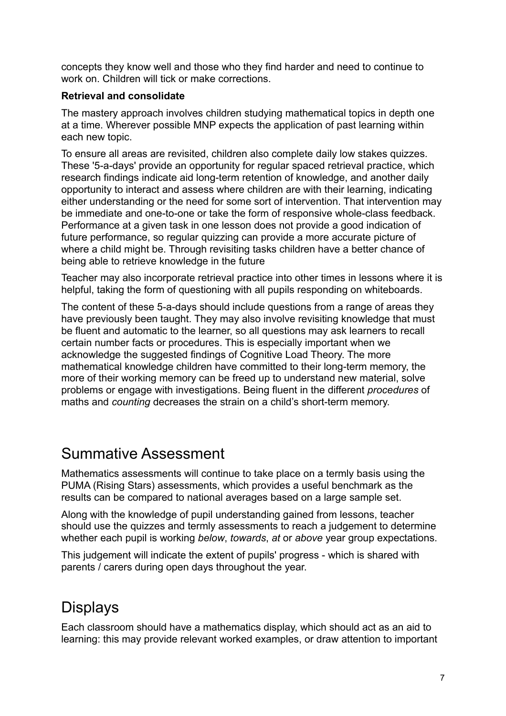concepts they know well and those who they find harder and need to continue to work on. Children will tick or make corrections.

#### **Retrieval and consolidate**

The mastery approach involves children studying mathematical topics in depth one at a time. Wherever possible MNP expects the application of past learning within each new topic.

To ensure all areas are revisited, children also complete daily low stakes quizzes. These '5-a-days' provide an opportunity for regular spaced retrieval practice, which research findings indicate aid long-term retention of knowledge, and another daily opportunity to interact and assess where children are with their learning, indicating either understanding or the need for some sort of intervention. That intervention may be immediate and one-to-one or take the form of responsive whole-class feedback. Performance at a given task in one lesson does not provide a good indication of future performance, so regular quizzing can provide a more accurate picture of where a child might be. Through revisiting tasks children have a better chance of being able to retrieve knowledge in the future

Teacher may also incorporate retrieval practice into other times in lessons where it is helpful, taking the form of questioning with all pupils responding on whiteboards.

The content of these 5-a-days should include questions from a range of areas they have previously been taught. They may also involve revisiting knowledge that must be fluent and automatic to the learner, so all questions may ask learners to recall certain number facts or procedures. This is especially important when we acknowledge the suggested findings of Cognitive Load Theory. The more mathematical knowledge children have committed to their long-term memory, the more of their working memory can be freed up to understand new material, solve problems or engage with investigations. Being fluent in the different *procedures* of maths and *counting* decreases the strain on a child's short-term memory.

### Summative Assessment

Mathematics assessments will continue to take place on a termly basis using the PUMA (Rising Stars) assessments, which provides a useful benchmark as the results can be compared to national averages based on a large sample set.

Along with the knowledge of pupil understanding gained from lessons, teacher should use the quizzes and termly assessments to reach a judgement to determine whether each pupil is working *below*, *towards*, *at* or *above* year group expectations.

This judgement will indicate the extent of pupils' progress - which is shared with parents / carers during open days throughout the year.

# Displays

Each classroom should have a mathematics display, which should act as an aid to learning: this may provide relevant worked examples, or draw attention to important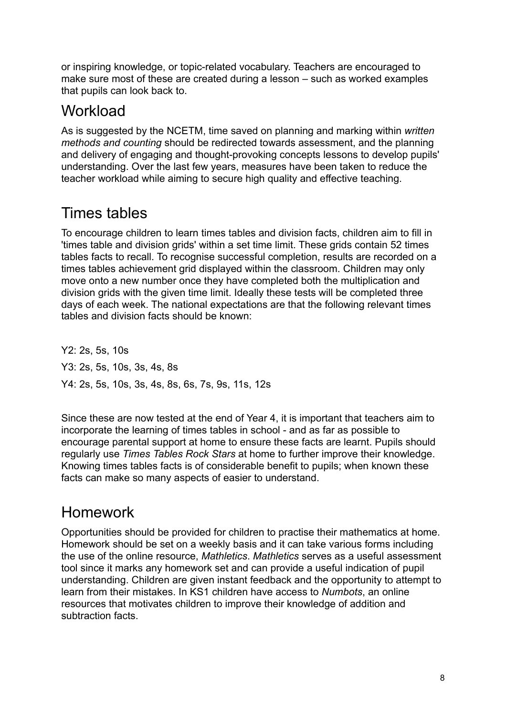or inspiring knowledge, or topic-related vocabulary. Teachers are encouraged to make sure most of these are created during a lesson – such as worked examples that pupils can look back to.

### **Workload**

As is suggested by the NCETM, time saved on planning and marking within *written methods and counting* should be redirected towards assessment, and the planning and delivery of engaging and thought-provoking concepts lessons to develop pupils' understanding. Over the last few years, measures have been taken to reduce the teacher workload while aiming to secure high quality and effective teaching.

# Times tables

To encourage children to learn times tables and division facts, children aim to fill in 'times table and division grids' within a set time limit. These grids contain 52 times tables facts to recall. To recognise successful completion, results are recorded on a times tables achievement grid displayed within the classroom. Children may only move onto a new number once they have completed both the multiplication and division grids with the given time limit. Ideally these tests will be completed three days of each week. The national expectations are that the following relevant times tables and division facts should be known:

Y2: 2s, 5s, 10s Y3: 2s, 5s, 10s, 3s, 4s, 8s Y4: 2s, 5s, 10s, 3s, 4s, 8s, 6s, 7s, 9s, 11s, 12s

Since these are now tested at the end of Year 4, it is important that teachers aim to incorporate the learning of times tables in school - and as far as possible to encourage parental support at home to ensure these facts are learnt. Pupils should regularly use *Times Tables Rock Stars* at home to further improve their knowledge. Knowing times tables facts is of considerable benefit to pupils; when known these facts can make so many aspects of easier to understand.

## Homework

Opportunities should be provided for children to practise their mathematics at home. Homework should be set on a weekly basis and it can take various forms including the use of the online resource, *Mathletics*. *Mathletics* serves as a useful assessment tool since it marks any homework set and can provide a useful indication of pupil understanding. Children are given instant feedback and the opportunity to attempt to learn from their mistakes. In KS1 children have access to *Numbots*, an online resources that motivates children to improve their knowledge of addition and subtraction facts.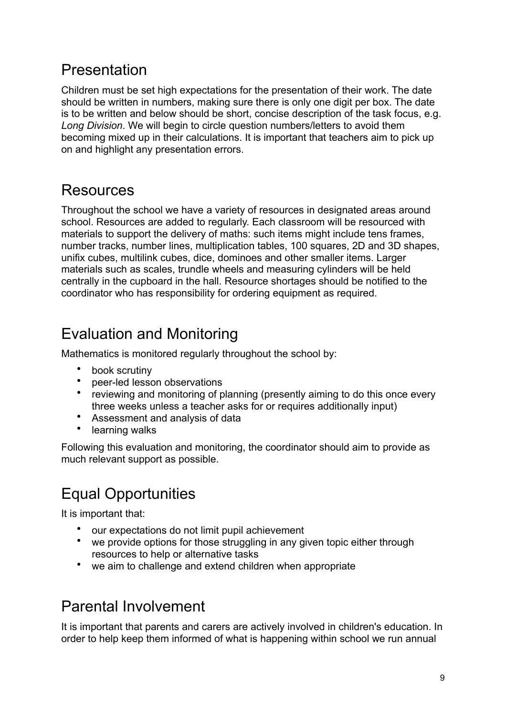# Presentation

Children must be set high expectations for the presentation of their work. The date should be written in numbers, making sure there is only one digit per box. The date is to be written and below should be short, concise description of the task focus, e.g. *Long Division*. We will begin to circle question numbers/letters to avoid them becoming mixed up in their calculations. It is important that teachers aim to pick up on and highlight any presentation errors.

## Resources

Throughout the school we have a variety of resources in designated areas around school. Resources are added to regularly. Each classroom will be resourced with materials to support the delivery of maths: such items might include tens frames, number tracks, number lines, multiplication tables, 100 squares, 2D and 3D shapes, unifix cubes, multilink cubes, dice, dominoes and other smaller items. Larger materials such as scales, trundle wheels and measuring cylinders will be held centrally in the cupboard in the hall. Resource shortages should be notified to the coordinator who has responsibility for ordering equipment as required.

# Evaluation and Monitoring

Mathematics is monitored regularly throughout the school by:

- book scrutiny
- peer-led lesson observations
- reviewing and monitoring of planning (presently aiming to do this once every three weeks unless a teacher asks for or requires additionally input)
- Assessment and analysis of data
- learning walks

Following this evaluation and monitoring, the coordinator should aim to provide as much relevant support as possible.

# Equal Opportunities

It is important that:

- our expectations do not limit pupil achievement
- we provide options for those struggling in any given topic either through resources to help or alternative tasks
- we aim to challenge and extend children when appropriate

## Parental Involvement

It is important that parents and carers are actively involved in children's education. In order to help keep them informed of what is happening within school we run annual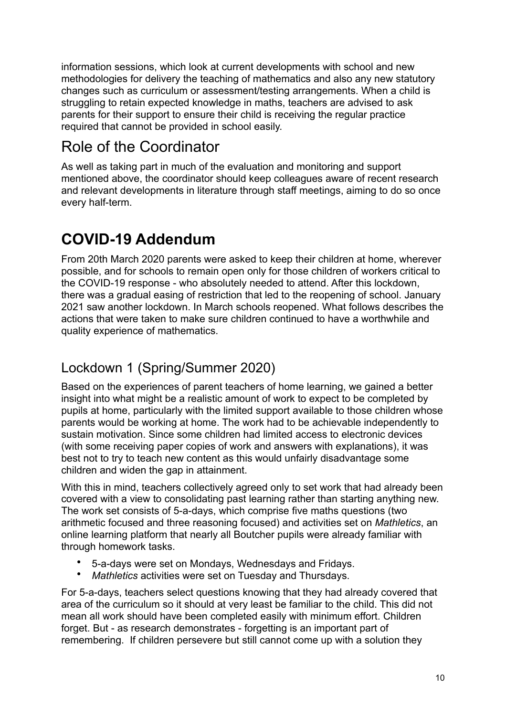information sessions, which look at current developments with school and new methodologies for delivery the teaching of mathematics and also any new statutory changes such as curriculum or assessment/testing arrangements. When a child is struggling to retain expected knowledge in maths, teachers are advised to ask parents for their support to ensure their child is receiving the regular practice required that cannot be provided in school easily.

# Role of the Coordinator

As well as taking part in much of the evaluation and monitoring and support mentioned above, the coordinator should keep colleagues aware of recent research and relevant developments in literature through staff meetings, aiming to do so once every half-term.

# **COVID-19 Addendum**

From 20th March 2020 parents were asked to keep their children at home, wherever possible, and for schools to remain open only for those children of workers critical to the COVID-19 response - who absolutely needed to attend. After this lockdown, there was a gradual easing of restriction that led to the reopening of school. January 2021 saw another lockdown. In March schools reopened. What follows describes the actions that were taken to make sure children continued to have a worthwhile and quality experience of mathematics.

### Lockdown 1 (Spring/Summer 2020)

Based on the experiences of parent teachers of home learning, we gained a better insight into what might be a realistic amount of work to expect to be completed by pupils at home, particularly with the limited support available to those children whose parents would be working at home. The work had to be achievable independently to sustain motivation. Since some children had limited access to electronic devices (with some receiving paper copies of work and answers with explanations), it was best not to try to teach new content as this would unfairly disadvantage some children and widen the gap in attainment.

With this in mind, teachers collectively agreed only to set work that had already been covered with a view to consolidating past learning rather than starting anything new. The work set consists of 5-a-days, which comprise five maths questions (two arithmetic focused and three reasoning focused) and activities set on *Mathletics*, an online learning platform that nearly all Boutcher pupils were already familiar with through homework tasks.

- 5-a-days were set on Mondays, Wednesdays and Fridays.
- *Mathletics* activities were set on Tuesday and Thursdays.

For 5-a-days, teachers select questions knowing that they had already covered that area of the curriculum so it should at very least be familiar to the child. This did not mean all work should have been completed easily with minimum effort. Children forget. But - as research demonstrates - forgetting is an important part of remembering. If children persevere but still cannot come up with a solution they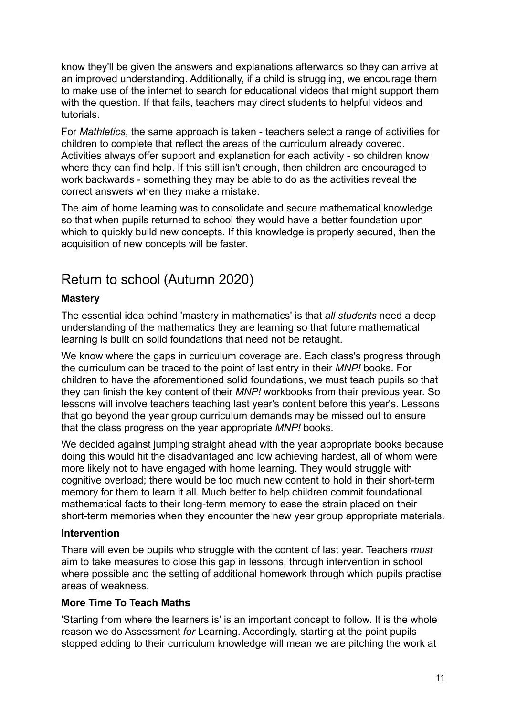know they'll be given the answers and explanations afterwards so they can arrive at an improved understanding. Additionally, if a child is struggling, we encourage them to make use of the internet to search for educational videos that might support them with the question. If that fails, teachers may direct students to helpful videos and tutorials.

For *Mathletics*, the same approach is taken - teachers select a range of activities for children to complete that reflect the areas of the curriculum already covered. Activities always offer support and explanation for each activity - so children know where they can find help. If this still isn't enough, then children are encouraged to work backwards - something they may be able to do as the activities reveal the correct answers when they make a mistake.

The aim of home learning was to consolidate and secure mathematical knowledge so that when pupils returned to school they would have a better foundation upon which to quickly build new concepts. If this knowledge is properly secured, then the acquisition of new concepts will be faster.

### Return to school (Autumn 2020)

#### **Mastery**

The essential idea behind 'mastery in mathematics' is that *all students* need a deep understanding of the mathematics they are learning so that future mathematical learning is built on solid foundations that need not be retaught.

We know where the gaps in curriculum coverage are. Each class's progress through the curriculum can be traced to the point of last entry in their *MNP!* books. For children to have the aforementioned solid foundations, we must teach pupils so that they can finish the key content of their *MNP!* workbooks from their previous year. So lessons will involve teachers teaching last year's content before this year's. Lessons that go beyond the year group curriculum demands may be missed out to ensure that the class progress on the year appropriate *MNP!* books.

We decided against jumping straight ahead with the year appropriate books because doing this would hit the disadvantaged and low achieving hardest, all of whom were more likely not to have engaged with home learning. They would struggle with cognitive overload; there would be too much new content to hold in their short-term memory for them to learn it all. Much better to help children commit foundational mathematical facts to their long-term memory to ease the strain placed on their short-term memories when they encounter the new year group appropriate materials.

#### **Intervention**

There will even be pupils who struggle with the content of last year. Teachers *must* aim to take measures to close this gap in lessons, through intervention in school where possible and the setting of additional homework through which pupils practise areas of weakness.

#### **More Time To Teach Maths**

'Starting from where the learners is' is an important concept to follow. It is the whole reason we do Assessment *for* Learning. Accordingly, starting at the point pupils stopped adding to their curriculum knowledge will mean we are pitching the work at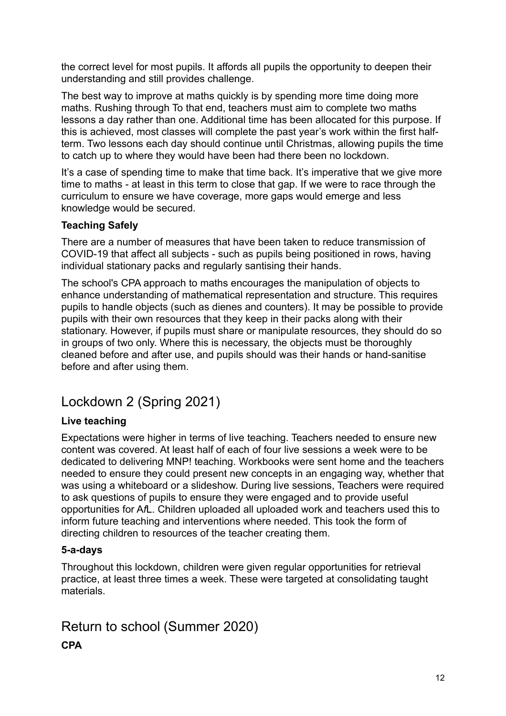the correct level for most pupils. It affords all pupils the opportunity to deepen their understanding and still provides challenge.

The best way to improve at maths quickly is by spending more time doing more maths. Rushing through To that end, teachers must aim to complete two maths lessons a day rather than one. Additional time has been allocated for this purpose. If this is achieved, most classes will complete the past year's work within the first halfterm. Two lessons each day should continue until Christmas, allowing pupils the time to catch up to where they would have been had there been no lockdown.

It's a case of spending time to make that time back. It's imperative that we give more time to maths - at least in this term to close that gap. If we were to race through the curriculum to ensure we have coverage, more gaps would emerge and less knowledge would be secured.

### **Teaching Safely**

There are a number of measures that have been taken to reduce transmission of COVID-19 that affect all subjects - such as pupils being positioned in rows, having individual stationary packs and regularly santising their hands.

The school's CPA approach to maths encourages the manipulation of objects to enhance understanding of mathematical representation and structure. This requires pupils to handle objects (such as dienes and counters). It may be possible to provide pupils with their own resources that they keep in their packs along with their stationary. However, if pupils must share or manipulate resources, they should do so in groups of two only. Where this is necessary, the objects must be thoroughly cleaned before and after use, and pupils should was their hands or hand-sanitise before and after using them.

### Lockdown 2 (Spring 2021)

### **Live teaching**

Expectations were higher in terms of live teaching. Teachers needed to ensure new content was covered. At least half of each of four live sessions a week were to be dedicated to delivering MNP! teaching. Workbooks were sent home and the teachers needed to ensure they could present new concepts in an engaging way, whether that was using a whiteboard or a slideshow. During live sessions, Teachers were required to ask questions of pupils to ensure they were engaged and to provide useful opportunities for A*f*L. Children uploaded all uploaded work and teachers used this to inform future teaching and interventions where needed. This took the form of directing children to resources of the teacher creating them.

### **5-a-days**

Throughout this lockdown, children were given regular opportunities for retrieval practice, at least three times a week. These were targeted at consolidating taught materials.

### Return to school (Summer 2020)

**CPA**